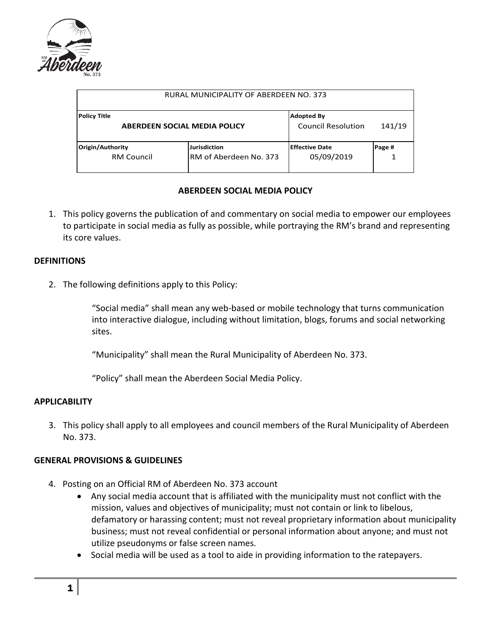

| RURAL MUNICIPALITY OF ABERDEEN NO. 373                     |                                                |                                                |        |
|------------------------------------------------------------|------------------------------------------------|------------------------------------------------|--------|
| <b>Policy Title</b><br><b>ABERDEEN SOCIAL MEDIA POLICY</b> |                                                | <b>Adopted By</b><br><b>Council Resolution</b> | 141/19 |
| Origin/Authority<br><b>RM Council</b>                      | <b>Jurisdiction</b><br>IRM of Aberdeen No. 373 | <b>Effective Date</b><br>05/09/2019            | Page # |

## **ABERDEEN SOCIAL MEDIA POLICY**

1. This policy governs the publication of and commentary on social media to empower our employees to participate in social media as fully as possible, while portraying the RM's brand and representing its core values.

### **DEFINITIONS**

2. The following definitions apply to this Policy:

"Social media" shall mean any web-based or mobile technology that turns communication into interactive dialogue, including without limitation, blogs, forums and social networking sites.

"Municipality" shall mean the Rural Municipality of Aberdeen No. 373.

"Policy" shall mean the Aberdeen Social Media Policy.

### **APPLICABILITY**

3. This policy shall apply to all employees and council members of the Rural Municipality of Aberdeen No. 373.

# **GENERAL PROVISIONS & GUIDELINES**

- 4. Posting on an Official RM of Aberdeen No. 373 account
	- Any social media account that is affiliated with the municipality must not conflict with the mission, values and objectives of municipality; must not contain or link to libelous, defamatory or harassing content; must not reveal proprietary information about municipality business; must not reveal confidential or personal information about anyone; and must not utilize pseudonyms or false screen names.
	- Social media will be used as a tool to aide in providing information to the ratepayers.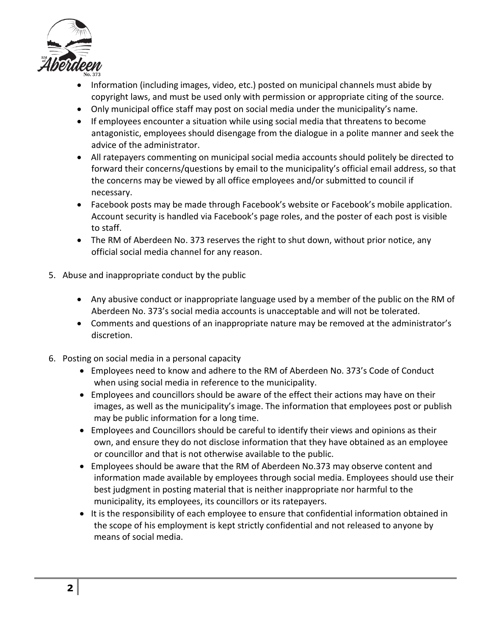

- Information (including images, video, etc.) posted on municipal channels must abide by copyright laws, and must be used only with permission or appropriate citing of the source.
- Only municipal office staff may post on social media under the municipality's name.
- If employees encounter a situation while using social media that threatens to become antagonistic, employees should disengage from the dialogue in a polite manner and seek the advice of the administrator.
- All ratepayers commenting on municipal social media accounts should politely be directed to forward their concerns/questions by email to the municipality's official email address, so that the concerns may be viewed by all office employees and/or submitted to council if necessary.
- Facebook posts may be made through Facebook's website or Facebook's mobile application. Account security is handled via Facebook's page roles, and the poster of each post is visible to staff.
- The RM of Aberdeen No. 373 reserves the right to shut down, without prior notice, any official social media channel for any reason.
- 5. Abuse and inappropriate conduct by the public
	- Any abusive conduct or inappropriate language used by a member of the public on the RM of Aberdeen No. 373's social media accounts is unacceptable and will not be tolerated.
	- Comments and questions of an inappropriate nature may be removed at the administrator's discretion.
- 6. Posting on social media in a personal capacity
	- Employees need to know and adhere to the RM of Aberdeen No. 373's Code of Conduct when using social media in reference to the municipality.
	- Employees and councillors should be aware of the effect their actions may have on their images, as well as the municipality's image. The information that employees post or publish may be public information for a long time.
	- Employees and Councillors should be careful to identify their views and opinions as their own, and ensure they do not disclose information that they have obtained as an employee or councillor and that is not otherwise available to the public.
	- Employees should be aware that the RM of Aberdeen No.373 may observe content and information made available by employees through social media. Employees should use their best judgment in posting material that is neither inappropriate nor harmful to the municipality, its employees, its councillors or its ratepayers.
	- It is the responsibility of each employee to ensure that confidential information obtained in the scope of his employment is kept strictly confidential and not released to anyone by means of social media.